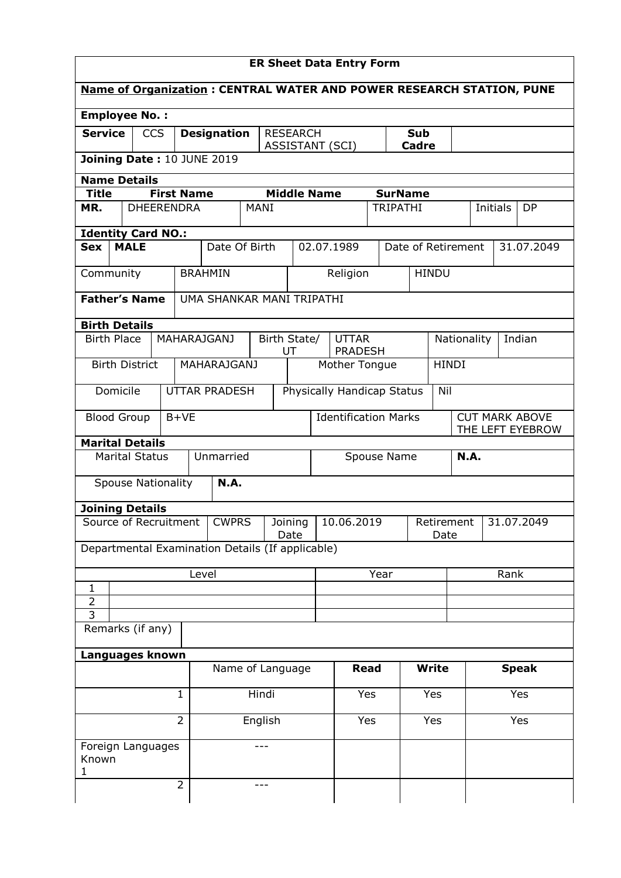| <b>Employee No.:</b>                             |                           |                   |                                       |      |                               |                    |  |                                 |                    |                    |       |              |             |            |        |                       |
|--------------------------------------------------|---------------------------|-------------------|---------------------------------------|------|-------------------------------|--------------------|--|---------------------------------|--------------------|--------------------|-------|--------------|-------------|------------|--------|-----------------------|
| <b>Service</b>                                   | <b>CCS</b>                |                   | <b>Designation</b><br><b>RESEARCH</b> |      |                               | Sub                |  |                                 |                    |                    |       |              |             |            |        |                       |
| Joining Date: 10 JUNE 2019                       |                           |                   |                                       |      | <b>ASSISTANT (SCI)</b>        |                    |  |                                 |                    |                    | Cadre |              |             |            |        |                       |
|                                                  |                           |                   |                                       |      |                               |                    |  |                                 |                    |                    |       |              |             |            |        |                       |
| <b>Name Details</b><br><b>Title</b>              |                           | <b>First Name</b> |                                       |      |                               | <b>Middle Name</b> |  |                                 |                    | <b>SurName</b>     |       |              |             |            |        |                       |
| MR.                                              |                           | <b>DHEERENDRA</b> |                                       | MANI |                               |                    |  |                                 |                    | <b>TRIPATHI</b>    |       |              |             | Initials   |        | <b>DP</b>             |
|                                                  |                           |                   |                                       |      |                               |                    |  |                                 |                    |                    |       |              |             |            |        |                       |
| <b>Identity Card NO.:</b>                        |                           |                   |                                       |      |                               |                    |  |                                 |                    |                    |       |              |             |            |        |                       |
| Sex                                              | <b>MALE</b>               |                   | Date Of Birth                         |      |                               |                    |  | 02.07.1989                      |                    | Date of Retirement |       |              |             |            |        | 31.07.2049            |
| Community                                        |                           |                   | <b>BRAHMIN</b>                        |      |                               |                    |  | Religion                        |                    |                    |       | <b>HINDU</b> |             |            |        |                       |
|                                                  |                           |                   |                                       |      |                               |                    |  |                                 |                    |                    |       |              |             |            |        |                       |
| <b>Father's Name</b>                             |                           |                   | UMA SHANKAR MANI TRIPATHI             |      |                               |                    |  |                                 |                    |                    |       |              |             |            |        |                       |
| <b>Birth Details</b>                             |                           |                   |                                       |      |                               |                    |  |                                 |                    |                    |       |              |             |            |        |                       |
| <b>Birth Place</b>                               |                           |                   | <b>MAHARAJGANJ</b>                    |      | Birth State/                  |                    |  | <b>UTTAR</b>                    |                    |                    |       | Nationality  |             |            | Indian |                       |
|                                                  | <b>Birth District</b>     |                   | <b>MAHARAJGANJ</b>                    |      |                               | UT                 |  | <b>PRADESH</b><br>Mother Tongue |                    |                    |       | <b>HINDI</b> |             |            |        |                       |
|                                                  |                           |                   |                                       |      |                               |                    |  |                                 |                    |                    |       |              |             |            |        |                       |
| Domicile                                         |                           |                   | <b>UTTAR PRADESH</b>                  |      |                               |                    |  | Physically Handicap Status      |                    |                    |       | Nil          |             |            |        |                       |
| <b>Blood Group</b>                               |                           | $B+VE$            |                                       |      |                               |                    |  | <b>Identification Marks</b>     |                    |                    |       |              |             |            |        | <b>CUT MARK ABOVE</b> |
|                                                  |                           |                   |                                       |      |                               |                    |  |                                 |                    |                    |       |              |             |            |        | THE LEFT EYEBROW      |
| <b>Marital Details</b>                           |                           |                   |                                       |      |                               |                    |  |                                 |                    |                    |       |              |             |            |        |                       |
|                                                  | <b>Marital Status</b>     |                   | Unmarried                             |      |                               |                    |  |                                 |                    | Spouse Name        |       |              | <b>N.A.</b> |            |        |                       |
|                                                  | <b>Spouse Nationality</b> |                   | N.A.                                  |      |                               |                    |  |                                 |                    |                    |       |              |             |            |        |                       |
|                                                  |                           |                   |                                       |      |                               |                    |  |                                 |                    |                    |       |              |             |            |        |                       |
| <b>Joining Details</b><br>Source of Recruitment  |                           |                   |                                       |      |                               |                    |  |                                 |                    |                    |       |              |             |            |        |                       |
|                                                  |                           |                   | <b>CWPRS</b>                          |      | 10.06.2019<br>Joining<br>Date |                    |  |                                 | Retirement<br>Date |                    |       |              |             | 31.07.2049 |        |                       |
| Departmental Examination Details (If applicable) |                           |                   |                                       |      |                               |                    |  |                                 |                    |                    |       |              |             |            |        |                       |
|                                                  |                           |                   |                                       |      |                               |                    |  |                                 |                    |                    |       |              |             |            |        |                       |
| 1                                                |                           |                   | Level                                 |      |                               |                    |  |                                 | Year               |                    |       |              |             |            | Rank   |                       |
| $\overline{2}$                                   |                           |                   |                                       |      |                               |                    |  |                                 |                    |                    |       |              |             |            |        |                       |
| $\overline{3}$                                   |                           |                   |                                       |      |                               |                    |  |                                 |                    |                    |       |              |             |            |        |                       |
| Remarks (if any)                                 |                           |                   |                                       |      |                               |                    |  |                                 |                    |                    |       |              |             |            |        |                       |
| Languages known                                  |                           |                   |                                       |      |                               |                    |  |                                 |                    |                    |       |              |             |            |        |                       |
|                                                  |                           |                   | Name of Language                      |      |                               |                    |  | <b>Read</b>                     |                    |                    |       | <b>Write</b> |             |            |        | <b>Speak</b>          |
|                                                  |                           |                   |                                       |      |                               |                    |  |                                 |                    |                    |       |              |             |            |        |                       |
| $\mathbf 1$                                      |                           |                   | Hindi                                 |      |                               | Yes                |  | Yes                             |                    |                    |       |              |             | Yes        |        |                       |
| $\overline{2}$<br>English                        |                           |                   |                                       |      | Yes<br>Yes                    |                    |  |                                 |                    |                    | Yes   |              |             |            |        |                       |
|                                                  |                           |                   |                                       |      |                               |                    |  |                                 |                    |                    |       |              |             |            |        |                       |
| Foreign Languages<br>Known                       |                           |                   |                                       | ---  |                               |                    |  |                                 |                    |                    |       |              |             |            |        |                       |
|                                                  |                           |                   |                                       |      |                               |                    |  |                                 |                    |                    |       |              |             |            |        |                       |
| 1                                                |                           |                   |                                       |      |                               |                    |  |                                 |                    |                    |       |              |             |            |        |                       |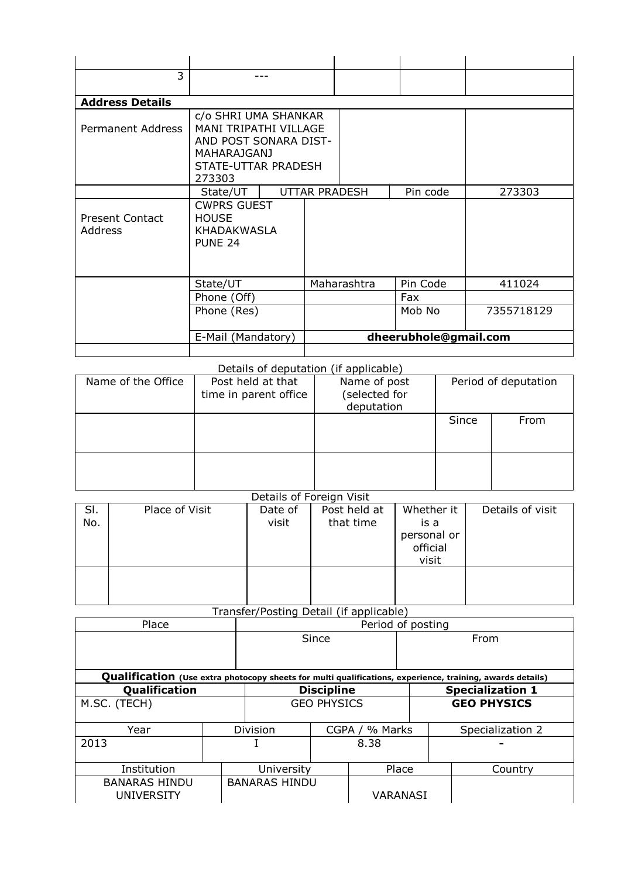| 3                                 |                                                                                                                                      |                      |             |                       |            |
|-----------------------------------|--------------------------------------------------------------------------------------------------------------------------------------|----------------------|-------------|-----------------------|------------|
|                                   |                                                                                                                                      |                      |             |                       |            |
| <b>Address Details</b>            |                                                                                                                                      |                      |             |                       |            |
| <b>Permanent Address</b>          | c/o SHRI UMA SHANKAR<br><b>MANI TRIPATHI VILLAGE</b><br>AND POST SONARA DIST-<br><b>MAHARAJGANJ</b><br>STATE-UTTAR PRADESH<br>273303 |                      |             |                       |            |
|                                   | State/UT                                                                                                                             | <b>UTTAR PRADESH</b> |             | Pin code              | 273303     |
| <b>Present Contact</b><br>Address | <b>CWPRS GUEST</b><br><b>HOUSE</b><br>KHADAKWASLA<br>PUNE 24                                                                         |                      |             |                       |            |
|                                   | State/UT                                                                                                                             |                      | Maharashtra | Pin Code              | 411024     |
|                                   | Phone (Off)                                                                                                                          |                      |             | Fax                   |            |
|                                   | Phone (Res)                                                                                                                          |                      |             | Mob No                | 7355718129 |
|                                   | E-Mail (Mandatory)                                                                                                                   |                      |             | dheerubhole@gmail.com |            |
|                                   |                                                                                                                                      |                      |             |                       |            |

## Details of deputation (if applicable)

|                    |                                            | $1 - 2 = 5 - 1 = 7$                        |       |                      |
|--------------------|--------------------------------------------|--------------------------------------------|-------|----------------------|
| Name of the Office | Post held at that<br>time in parent office | Name of post<br>selected for<br>deputation |       | Period of deputation |
|                    |                                            |                                            | Since | From                 |
|                    |                                            |                                            |       |                      |

## Details of Foreign Visit

|            |                | DETAILS OF FUITHER AISIT |                           |                                               |                  |
|------------|----------------|--------------------------|---------------------------|-----------------------------------------------|------------------|
| SI.<br>No. | Place of Visit | Date of<br>visit         | Post held at<br>that time | Whether it<br>is a<br>personal or<br>official | Details of visit |
|            |                |                          |                           | visit                                         |                  |
|            |                |                          |                           |                                               |                  |

## Transfer/Posting Detail (if applicable)

| Place                                                                                                     |  |                      |                    | Period of posting |                  |                         |  |  |  |  |
|-----------------------------------------------------------------------------------------------------------|--|----------------------|--------------------|-------------------|------------------|-------------------------|--|--|--|--|
|                                                                                                           |  | Since                |                    |                   | From             |                         |  |  |  |  |
|                                                                                                           |  |                      |                    |                   |                  |                         |  |  |  |  |
| Qualification (Use extra photocopy sheets for multi qualifications, experience, training, awards details) |  |                      |                    |                   |                  |                         |  |  |  |  |
| Qualification                                                                                             |  |                      | <b>Discipline</b>  |                   |                  | <b>Specialization 1</b> |  |  |  |  |
| M.SC. (TECH)                                                                                              |  |                      | <b>GEO PHYSICS</b> |                   |                  | <b>GEO PHYSICS</b>      |  |  |  |  |
| Year                                                                                                      |  | Division             | CGPA / % Marks     |                   | Specialization 2 |                         |  |  |  |  |
| 2013                                                                                                      |  |                      |                    | 8.38              |                  |                         |  |  |  |  |
| Institution                                                                                               |  | University           |                    | Place             |                  | Country                 |  |  |  |  |
| <b>BANARAS HINDU</b><br><b>UNIVERSITY</b>                                                                 |  | <b>BANARAS HINDU</b> |                    | VARANASI          |                  |                         |  |  |  |  |